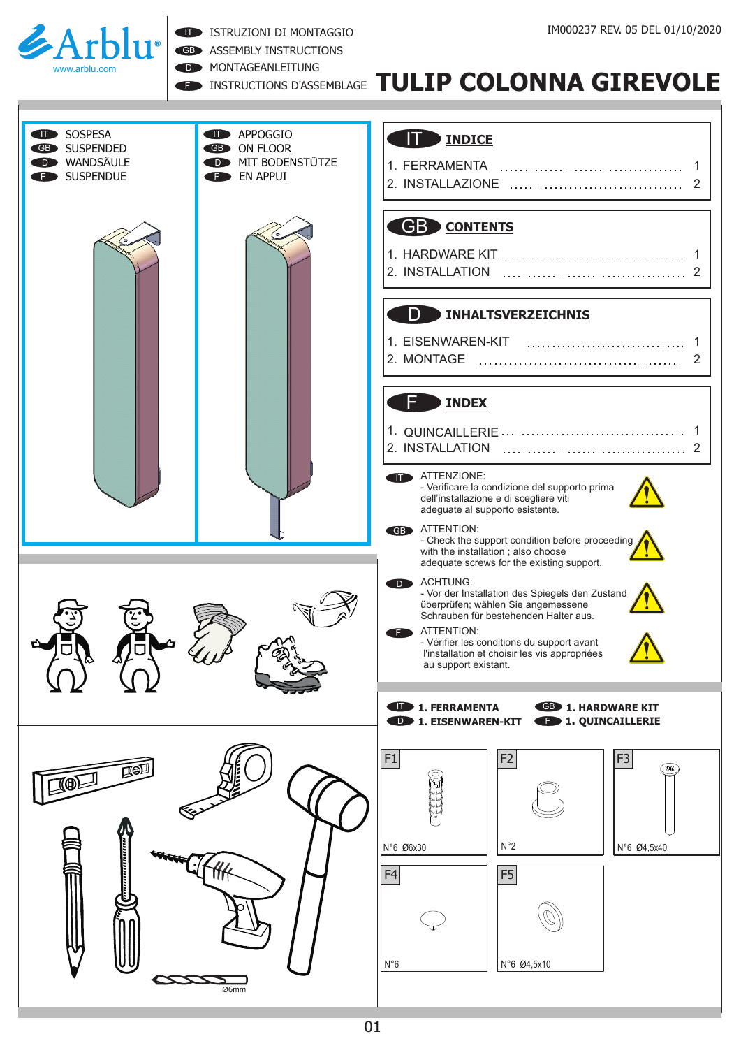

ISTRUZIONI DI MONTAGGIO

GB ASSEMBLY INSTRUCTIONS

D **MONTAGEANLEITUNG** 

## **EN INSTRUCTIONS D'ASSEMBLAGE TULIP COLONNA GIREVOLE**

#### IT **INDICE**

| SOSPESA<br>li D<br><b>SUSPENDED</b><br><b>GB</b><br>WANDSÄULE<br><b>SUSPENDUE</b> | <b>D</b> APPOGGIO<br><b>GB</b> ON FLOOR<br>MIT BODENSTÜTZE<br>EN APPUI | <b>INDICE</b>                                                                                                                                                                                                                                                                                            |
|-----------------------------------------------------------------------------------|------------------------------------------------------------------------|----------------------------------------------------------------------------------------------------------------------------------------------------------------------------------------------------------------------------------------------------------------------------------------------------------|
|                                                                                   |                                                                        | <b>GB</b> CONTENTS                                                                                                                                                                                                                                                                                       |
|                                                                                   |                                                                        | D<br><b>INHALTSVERZEICHNIS</b>                                                                                                                                                                                                                                                                           |
|                                                                                   |                                                                        | <b>INDEX</b>                                                                                                                                                                                                                                                                                             |
|                                                                                   |                                                                        | ATTENZIONE:<br>- Verificare la condizione del supporto prima<br>dell'installazione e di scegliere viti<br>adeguate al supporto esistente.<br><b>GB</b> ATTENTION:<br>- Check the support condition before proceeding<br>with the installation; also choose<br>adequate screws for the existing support.  |
| A R<br>УK                                                                         |                                                                        | <b>ACHTUNG:</b><br><b>D</b><br>- Vor der Installation des Spiegels den Zustand<br>überprüfen; wählen Sie angemessene<br>Schrauben für bestehenden Halter aus.<br>ATTENTION:<br>F.<br>- Vérifier les conditions du support avant<br>l'installation et choisir les vis appropriées<br>au support existant. |
|                                                                                   |                                                                        | <b>1. FERRAMENTA</b><br><b>GB</b> 1. HARDWARE KIT<br><b>1. QUINCAILLERIE</b><br><b>D</b> 1. EISENWAREN-KIT                                                                                                                                                                                               |
| [ ∯∏<br>$\circledast$                                                             |                                                                        | F1<br>F <sub>3</sub><br>F <sub>2</sub><br>(30C)                                                                                                                                                                                                                                                          |
|                                                                                   |                                                                        | $N^{\circ}2$<br>N°6 Ø6x30<br>N°6 Ø4,5x40<br>F5<br>F <sub>4</sub><br>$N^{\circ}6$<br>N°6 Ø4,5x10                                                                                                                                                                                                          |
|                                                                                   | Ø6mm                                                                   |                                                                                                                                                                                                                                                                                                          |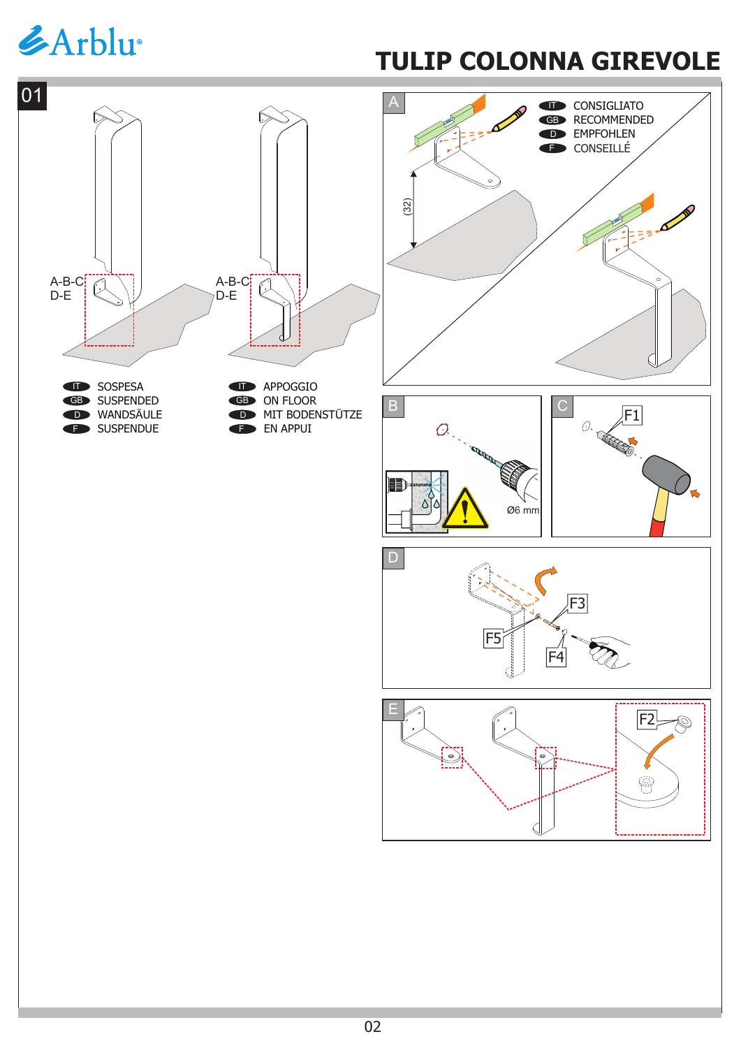# *&Arblu*

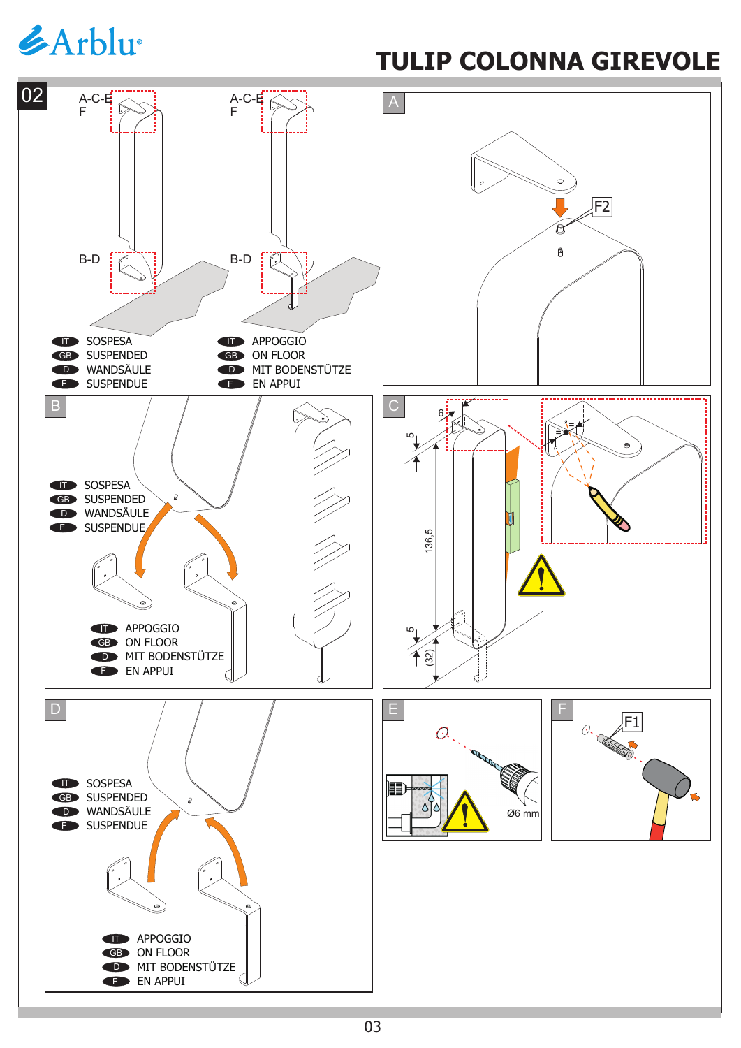# *GArblu*

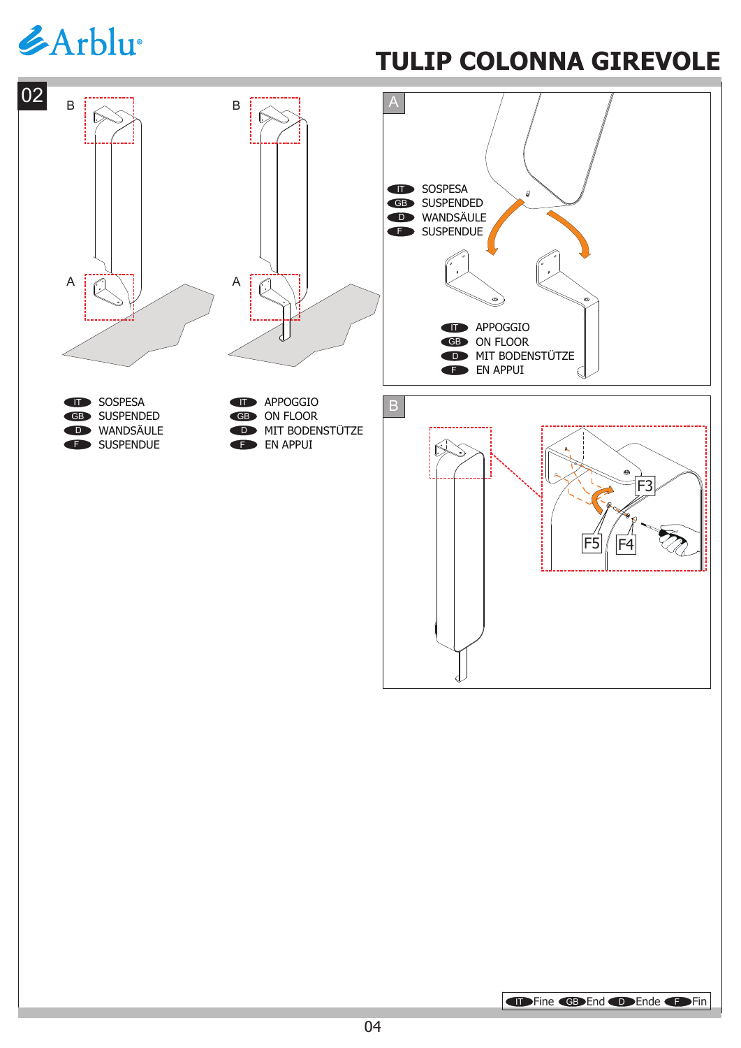# *EArblu*

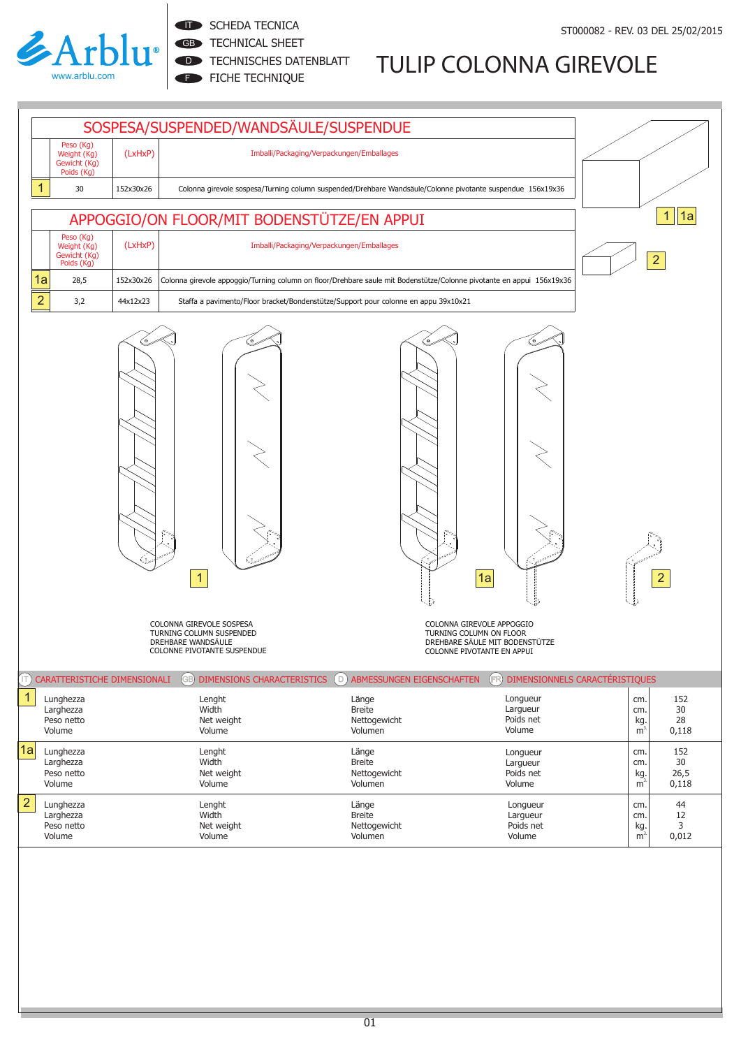

#### **IT SCHEDA TECNICA**

GB TECHNICAL SHEET

D **TECHNISCHES DATENBLATT** 

FICHE TECHNIQUE